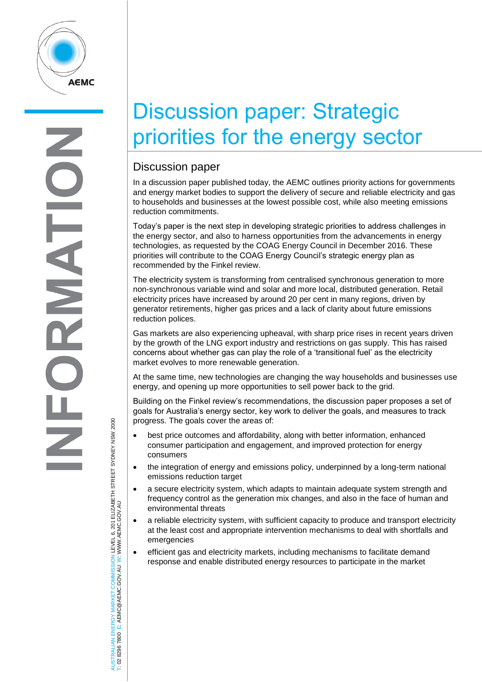

## Discussion paper: Strategic priorities for the energy sector

## Discussion paper

In a discussion paper published today, the AEMC outlines priority actions for governments and energy market bodies to support the delivery of secure and reliable electricity and gas to households and businesses at the lowest possible cost, while also meeting emissions reduction commitments.

Today's paper is the next step in developing strategic priorities to address challenges in the energy sector, and also to harness opportunities from the advancements in energy technologies, as requested by the COAG Energy Council in December 2016. These priorities will contribute to the COAG Energy Council's strategic energy plan as recommended by the Finkel review.

The electricity system is transforming from centralised synchronous generation to more non-synchronous variable wind and solar and more local, distributed generation. Retail electricity prices have increased by around 20 per cent in many regions, driven by generator retirements, higher gas prices and a lack of clarity about future emissions reduction polices.

Gas markets are also experiencing upheaval, with sharp price rises in recent years driven by the growth of the LNG export industry and restrictions on gas supply. This has raised concerns about whether gas can play the role of a 'transitional fuel' as the electricity market evolves to more renewable generation.

At the same time, new technologies are changing the way households and businesses use energy, and opening up more opportunities to sell power back to the grid.

Building on the Finkel review's recommendations, the discussion paper proposes a set of goals for Australia's energy sector, key work to deliver the goals, and measures to track progress. The goals cover the areas of:

- best price outcomes and affordability, along with better information, enhanced consumer participation and engagement, and improved protection for energy consumers
- the integration of energy and emissions policy, underpinned by a long-term national emissions reduction target
- a secure electricity system, which adapts to maintain adequate system strength and frequency control as the generation mix changes, and also in the face of human and environmental threats
- a reliable electricity system, with sufficient capacity to produce and transport electricity at the least cost and appropriate intervention mechanisms to deal with shortfalls and emergencies
- efficient gas and electricity markets, including mechanisms to facilitate demand response and enable distributed energy resources to participate in the market

AUSTRALIAN ENERGY MARKET COMMISSION LEVEL 6, 201 ELIZABETH STREET SYDNEY NSW 2000<br>T: 02 8296 7800 E: AEMC@AEMC.GOV.AU W: WWW.AEMC.GOV.AU AUSTRALIAN ENERGY MARKET COMMISSION LEVEL 6, 201 ELIZABETH STREET SYDNEY NSW 2000 W: WWW.AEMC.GOV.AU T: 02 8296 7800 E: AEMC@AEMC.GOV.AU